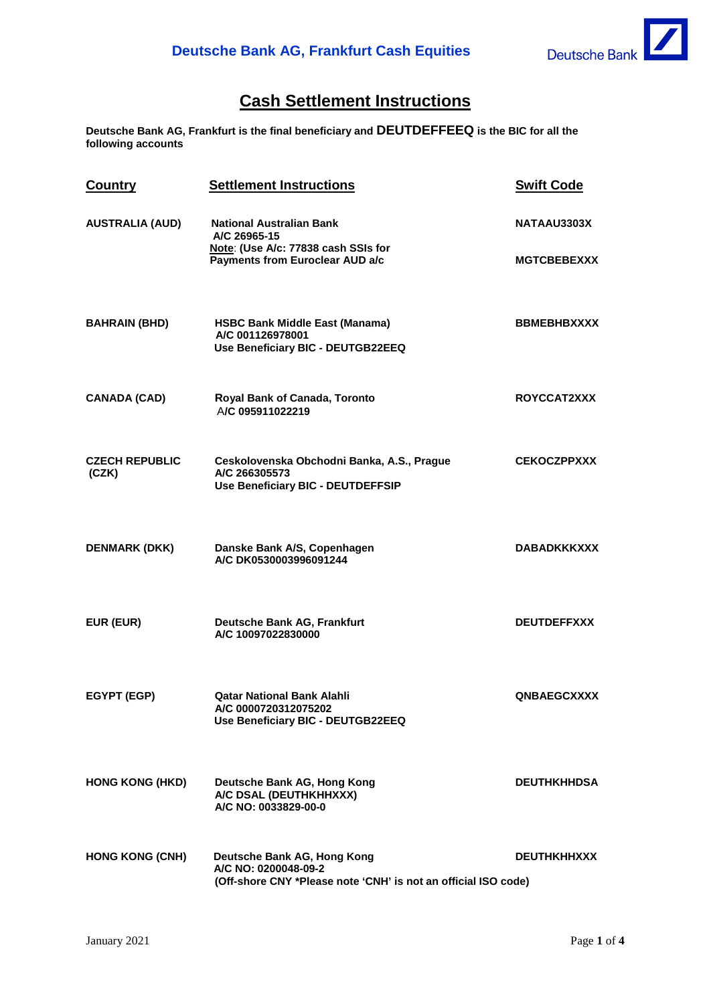## **Cash Settlement Instructions**

**Deutsche Bank AG, Frankfurt is the final beneficiary and DEUTDEFFEEQ is the BIC for all the following accounts**

| Country                        | <b>Settlement Instructions</b>                                                                                            | <b>Swift Code</b>  |
|--------------------------------|---------------------------------------------------------------------------------------------------------------------------|--------------------|
| <b>AUSTRALIA (AUD)</b>         | <b>National Australian Bank</b><br>A/C 26965-15<br>Note: (Use A/c: 77838 cash SSIs for<br>Payments from Euroclear AUD a/c | NATAAU3303X        |
|                                |                                                                                                                           | <b>MGTCBEBEXXX</b> |
| <b>BAHRAIN (BHD)</b>           | <b>HSBC Bank Middle East (Manama)</b><br>A/C 001126978001<br>Use Beneficiary BIC - DEUTGB22EEQ                            | <b>BBMEBHBXXXX</b> |
| <b>CANADA (CAD)</b>            | Royal Bank of Canada, Toronto<br>A/C 095911022219                                                                         | ROYCCAT2XXX        |
| <b>CZECH REPUBLIC</b><br>(CZK) | Ceskolovenska Obchodni Banka, A.S., Prague<br>A/C 266305573<br>Use Beneficiary BIC - DEUTDEFFSIP                          | <b>CEKOCZPPXXX</b> |
| <b>DENMARK (DKK)</b>           | Danske Bank A/S, Copenhagen<br>A/C DK0530003996091244                                                                     | <b>DABADKKKXXX</b> |
| EUR (EUR)                      | Deutsche Bank AG, Frankfurt<br>A/C 10097022830000                                                                         | <b>DEUTDEFFXXX</b> |
| EGYPT (EGP)                    | <b>Qatar National Bank Alahli</b><br>A/C 0000720312075202<br>Use Beneficiary BIC - DEUTGB22EEQ                            | <b>QNBAEGCXXXX</b> |
| <b>HONG KONG (HKD)</b>         | Deutsche Bank AG, Hong Kong<br>A/C DSAL (DEUTHKHHXXX)<br>A/C NO: 0033829-00-0                                             | <b>DEUTHKHHDSA</b> |
| <b>HONG KONG (CNH)</b>         | Deutsche Bank AG, Hong Kong<br>A/C NO: 0200048-09-2<br>(Off-shore CNY *Please note 'CNH' is not an official ISO code)     | <b>DEUTHKHHXXX</b> |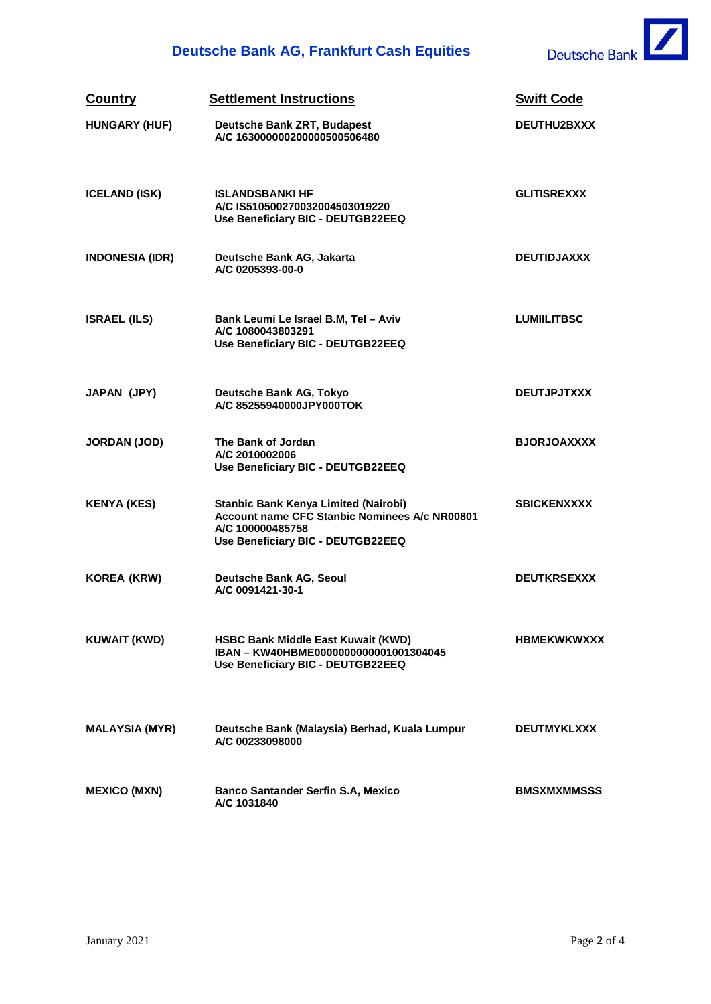## **Deutsche Bank AG, Frankfurt Cash Equities**



| Country                | <b>Settlement Instructions</b>                                                                                                                 | <b>Swift Code</b>  |
|------------------------|------------------------------------------------------------------------------------------------------------------------------------------------|--------------------|
| <b>HUNGARY (HUF)</b>   | Deutsche Bank ZRT, Budapest<br>A/C 163000000200000500506480                                                                                    | DEUTHU2BXXX        |
| <b>ICELAND (ISK)</b>   | <b>ISLANDSBANKI HF</b><br>A/C IS510500270032004503019220<br>Use Beneficiary BIC - DEUTGB22EEQ                                                  | <b>GLITISREXXX</b> |
| <b>INDONESIA (IDR)</b> | Deutsche Bank AG, Jakarta<br>A/C 0205393-00-0                                                                                                  | <b>DEUTIDJAXXX</b> |
| <b>ISRAEL (ILS)</b>    | Bank Leumi Le Israel B.M, Tel - Aviv<br>A/C 1080043803291<br>Use Beneficiary BIC - DEUTGB22EEQ                                                 | <b>LUMILITBSC</b>  |
| JAPAN (JPY)            | Deutsche Bank AG, Tokyo<br>A/C 85255940000JPY000TOK                                                                                            | <b>DEUTJPJTXXX</b> |
| <b>JORDAN (JOD)</b>    | The Bank of Jordan<br>A/C 2010002006<br>Use Beneficiary BIC - DEUTGB22EEQ                                                                      | <b>BJORJOAXXXX</b> |
| <b>KENYA (KES)</b>     | Stanbic Bank Kenya Limited (Nairobi)<br>Account name CFC Stanbic Nominees A/c NR00801<br>A/C 100000485758<br>Use Beneficiary BIC - DEUTGB22EEQ | <b>SBICKENXXXX</b> |
| <b>KOREA (KRW)</b>     | Deutsche Bank AG, Seoul<br>A/C 0091421-30-1                                                                                                    | <b>DEUTKRSEXXX</b> |
| KUWAIT (KWD)           | <b>HSBC Bank Middle East Kuwait (KWD)</b><br>IBAN - KW40HBME0000000000001001304045<br>Use Beneficiary BIC - DEUTGB22EEQ                        | <b>HBMEKWKWXXX</b> |
| <b>MALAYSIA (MYR)</b>  | Deutsche Bank (Malaysia) Berhad, Kuala Lumpur<br>A/C 00233098000                                                                               | <b>DEUTMYKLXXX</b> |
| <b>MEXICO (MXN)</b>    | <b>Banco Santander Serfin S.A, Mexico</b><br>A/C 1031840                                                                                       | <b>BMSXMXMMSSS</b> |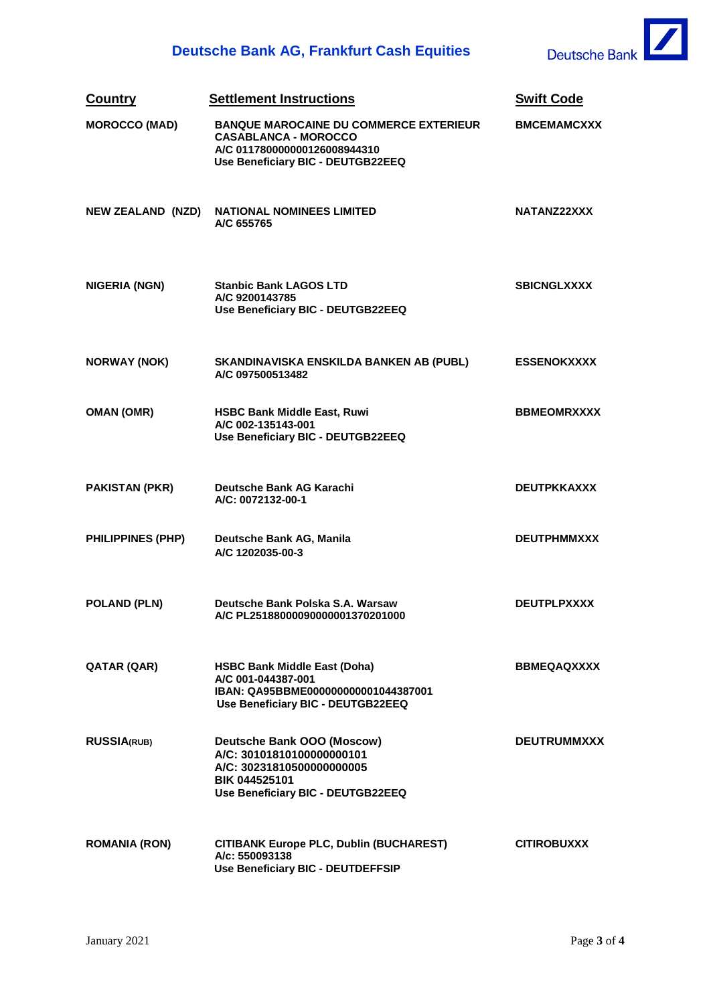

| <b>Country</b>           | <b>Settlement Instructions</b>                                                                                                                    | <b>Swift Code</b>  |
|--------------------------|---------------------------------------------------------------------------------------------------------------------------------------------------|--------------------|
| <b>MOROCCO (MAD)</b>     | <b>BANQUE MAROCAINE DU COMMERCE EXTERIEUR</b><br><b>CASABLANCA - MOROCCO</b><br>A/C 011780000000126008944310<br>Use Beneficiary BIC - DEUTGB22EEQ | <b>BMCEMAMCXXX</b> |
| <b>NEW ZEALAND (NZD)</b> | <b>NATIONAL NOMINEES LIMITED</b><br>A/C 655765                                                                                                    | NATANZ22XXX        |
| <b>NIGERIA (NGN)</b>     | <b>Stanbic Bank LAGOS LTD</b><br>A/C 9200143785<br>Use Beneficiary BIC - DEUTGB22EEQ                                                              | <b>SBICNGLXXXX</b> |
| <b>NORWAY (NOK)</b>      | SKANDINAVISKA ENSKILDA BANKEN AB (PUBL)<br>A/C 097500513482                                                                                       | <b>ESSENOKXXXX</b> |
| <b>OMAN (OMR)</b>        | <b>HSBC Bank Middle East, Ruwi</b><br>A/C 002-135143-001<br>Use Beneficiary BIC - DEUTGB22EEQ                                                     | <b>BBMEOMRXXXX</b> |
| <b>PAKISTAN (PKR)</b>    | Deutsche Bank AG Karachi<br>A/C: 0072132-00-1                                                                                                     | <b>DEUTPKKAXXX</b> |
| <b>PHILIPPINES (PHP)</b> | Deutsche Bank AG, Manila<br>A/C 1202035-00-3                                                                                                      | <b>DEUTPHMMXXX</b> |
| <b>POLAND (PLN)</b>      | Deutsche Bank Polska S.A. Warsaw<br>A/C PL25188000090000001370201000                                                                              | <b>DEUTPLPXXXX</b> |
| QATAR (QAR)              | <b>HSBC Bank Middle East (Doha)</b><br>A/C 001-044387-001<br>IBAN: QA95BBME000000000001044387001<br>Use Beneficiary BIC - DEUTGB22EEQ             | <b>BBMEQAQXXXX</b> |
| <b>RUSSIA(RUB)</b>       | Deutsche Bank OOO (Moscow)<br>A/C: 30101810100000000101<br>A/C: 30231810500000000005<br><b>BIK 044525101</b><br>Use Beneficiary BIC - DEUTGB22EEQ | <b>DEUTRUMMXXX</b> |
| <b>ROMANIA (RON)</b>     | <b>CITIBANK Europe PLC, Dublin (BUCHAREST)</b><br>A/c: 550093138<br>Use Beneficiary BIC - DEUTDEFFSIP                                             | <b>CITIROBUXXX</b> |